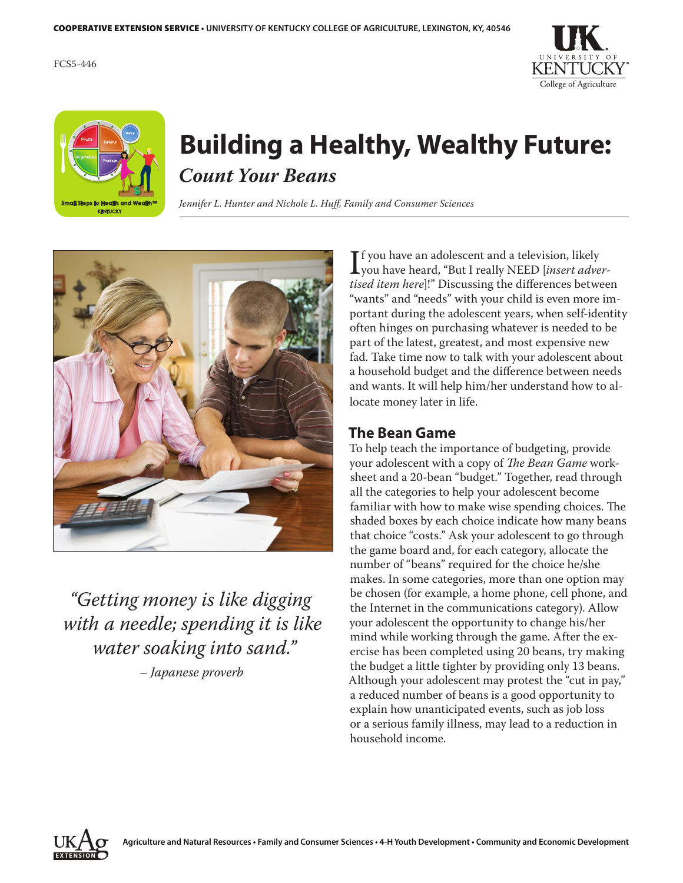FCS5-446





## **Building a Healthy, Wealthy Future:** *Count Your Beans*

*Jennifer L. Hunter and Nichole L. Huff, Family and Consumer Sciences*



*"Getting money is like digging with a needle; spending it is like water soaking into sand." – Japanese proverb*

If you have an adolescent and a television, likely<br>I you have heard, "But I really NEED [*insert adver-*<br>*tised item here*l!" Discussing the differences betwee  $\blacksquare$  f you have an adolescent and a television, likely *tised item here*]!" Discussing the differences between "wants" and "needs" with your child is even more important during the adolescent years, when self-identity often hinges on purchasing whatever is needed to be part of the latest, greatest, and most expensive new fad. Take time now to talk with your adolescent about a household budget and the difference between needs and wants. It will help him/her understand how to allocate money later in life.

#### **The Bean Game**

To help teach the importance of budgeting, provide your adolescent with a copy of *The Bean Game* worksheet and a 20-bean "budget." Together, read through all the categories to help your adolescent become familiar with how to make wise spending choices. The shaded boxes by each choice indicate how many beans that choice "costs." Ask your adolescent to go through the game board and, for each category, allocate the number of "beans" required for the choice he/she makes. In some categories, more than one option may be chosen (for example, a home phone, cell phone, and the Internet in the communications category). Allow your adolescent the opportunity to change his/her mind while working through the game. After the exercise has been completed using 20 beans, try making the budget a little tighter by providing only 13 beans. Although your adolescent may protest the "cut in pay," a reduced number of beans is a good opportunity to explain how unanticipated events, such as job loss or a serious family illness, may lead to a reduction in household income.

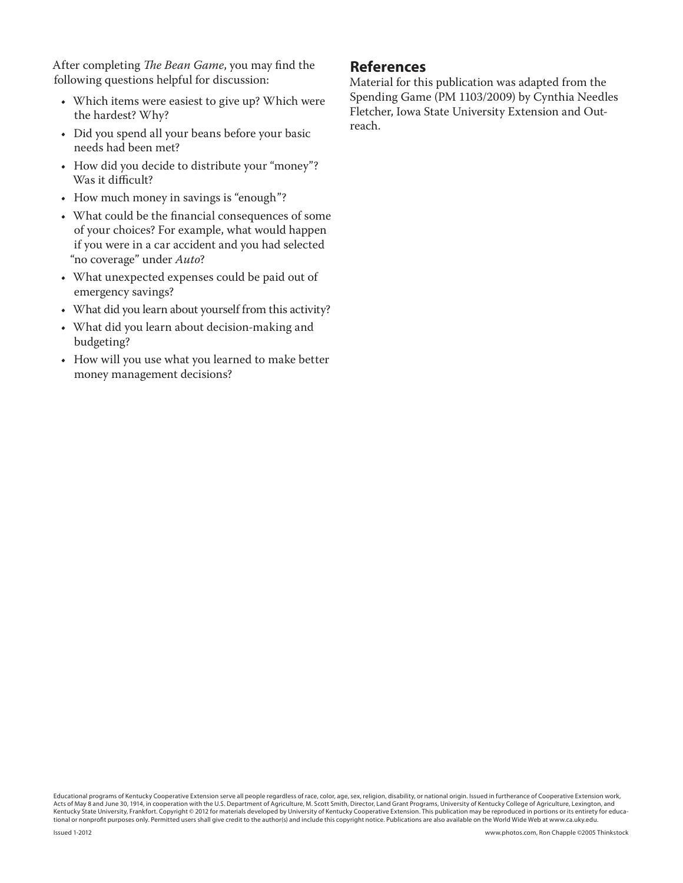After completing *The Bean Game*, you may find the following questions helpful for discussion:

- Which items were easiest to give up? Which were the hardest? Why?
- • Did you spend all your beans before your basic needs had been met?
- How did you decide to distribute your "money"? Was it difficult?
- How much money in savings is "enough"?
- What could be the financial consequences of some of your choices? For example, what would happen if you were in a car accident and you had selected "no coverage" under *Auto*?
- What unexpected expenses could be paid out of emergency savings?
- What did you learn about yourself from this activity?
- • What did you learn about decision-making and budgeting?
- • How will you use what you learned to make better money management decisions?

#### **References**

Material for this publication was adapted from the Spending Game (PM 1103/2009) by Cynthia Needles Fletcher, Iowa State University Extension and Outreach.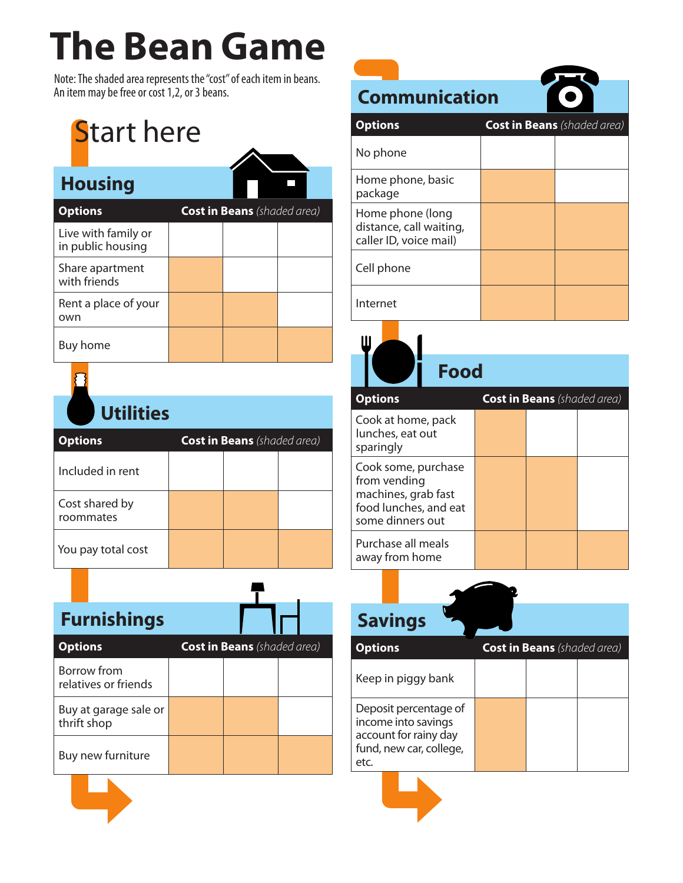## **The Bean Game**

Note: The shaded area represents the "cost" of each item in beans. An item may be free or cost 1,2, or 3 beans.

# **Start here**

| <b>Housing</b>                           |                                    |  |
|------------------------------------------|------------------------------------|--|
| <b>Options</b>                           | <b>Cost in Beans</b> (shaded area) |  |
| Live with family or<br>in public housing |                                    |  |
| Share apartment<br>with friends          |                                    |  |
| Rent a place of your<br>own              |                                    |  |
| Buy home                                 |                                    |  |



| <b>Utilities</b>            |                                    |  |
|-----------------------------|------------------------------------|--|
| <b>Options</b>              | <b>Cost in Beans</b> (shaded area) |  |
| Included in rent            |                                    |  |
| Cost shared by<br>roommates |                                    |  |
| You pay total cost          |                                    |  |

|                | <b>Furnishings</b>                  |                                    |  |
|----------------|-------------------------------------|------------------------------------|--|
| <b>Options</b> |                                     | <b>Cost in Beans</b> (shaded area) |  |
|                | Borrow from<br>relatives or friends |                                    |  |
| thrift shop    | Buy at garage sale or               |                                    |  |
|                | Buy new furniture                   |                                    |  |
|                |                                     |                                    |  |



**Communication Options Cost in Beans** *(shaded area)* No phone

| Home phone, basic<br>package                                          |  |
|-----------------------------------------------------------------------|--|
| Home phone (long<br>distance, call waiting,<br>caller ID, voice mail) |  |
| Cell phone                                                            |  |
| Internet                                                              |  |

Ш

 **Food Options Cost in Beans** *(shaded area)* Cook at home, pack lunches, eat out sparingly Cook some, purchase from vending machines, grab fast food lunches, and eat some dinners out Purchase all meals away from home

| <b>Cost in Beans</b> (shaded area) |
|------------------------------------|
|                                    |
|                                    |
|                                    |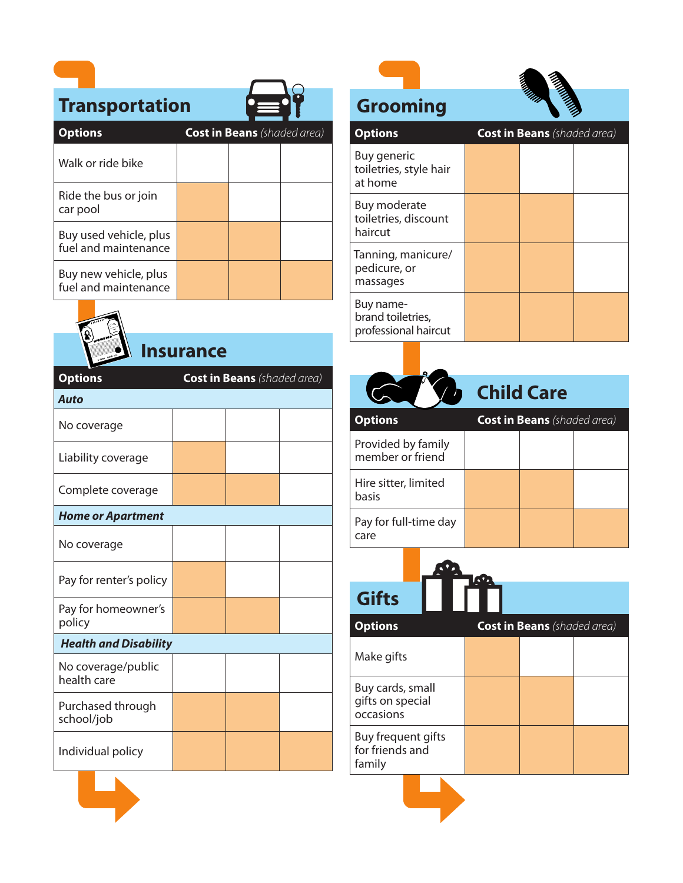### **Transportation**

| <b>Transportation</b>                          |                                    |  |
|------------------------------------------------|------------------------------------|--|
| <b>Options</b>                                 | <b>Cost in Beans</b> (shaded area) |  |
| Walk or ride bike                              |                                    |  |
| Ride the bus or join<br>car pool               |                                    |  |
| Buy used vehicle, plus<br>fuel and maintenance |                                    |  |
| Buy new vehicle, plus<br>fuel and maintenance  |                                    |  |



### **Insurance**

| <b>Options</b>                    | <b>Cost in Beans</b> (shaded area) |  |
|-----------------------------------|------------------------------------|--|
| <b>Auto</b>                       |                                    |  |
| No coverage                       |                                    |  |
| Liability coverage                |                                    |  |
| Complete coverage                 |                                    |  |
| <b>Home or Apartment</b>          |                                    |  |
| No coverage                       |                                    |  |
| Pay for renter's policy           |                                    |  |
| Pay for homeowner's<br>policy     |                                    |  |
| <b>Health and Disability</b>      |                                    |  |
| No coverage/public<br>health care |                                    |  |
| Purchased through<br>school/job   |                                    |  |
| Individual policy                 |                                    |  |

### **Grooming**



| <b>Options</b>                                         | <b>Cost in Beans</b> (shaded area) |  |  |
|--------------------------------------------------------|------------------------------------|--|--|
| Buy generic<br>toiletries, style hair<br>at home       |                                    |  |  |
| Buy moderate<br>toiletries, discount<br>haircut        |                                    |  |  |
| Tanning, manicure/<br>pedicure, or<br>massages         |                                    |  |  |
| Buy name-<br>brand toiletries,<br>professional haircut |                                    |  |  |

|                                        | <b>Child Care</b>                  |
|----------------------------------------|------------------------------------|
| <b>Options</b>                         | <b>Cost in Beans</b> (shaded area) |
| Provided by family<br>member or friend |                                    |
| Hire sitter, limited<br>basis          |                                    |
| Pay for full-time day<br>care          |                                    |



 $Options$ 

|  | <b>Cost in Beans</b> (shaded area) |  |
|--|------------------------------------|--|
|  |                                    |  |

| Make gifts                                        |  |  |
|---------------------------------------------------|--|--|
| Buy cards, small<br>gifts on special<br>occasions |  |  |
| Buy frequent gifts<br>for friends and<br>family   |  |  |